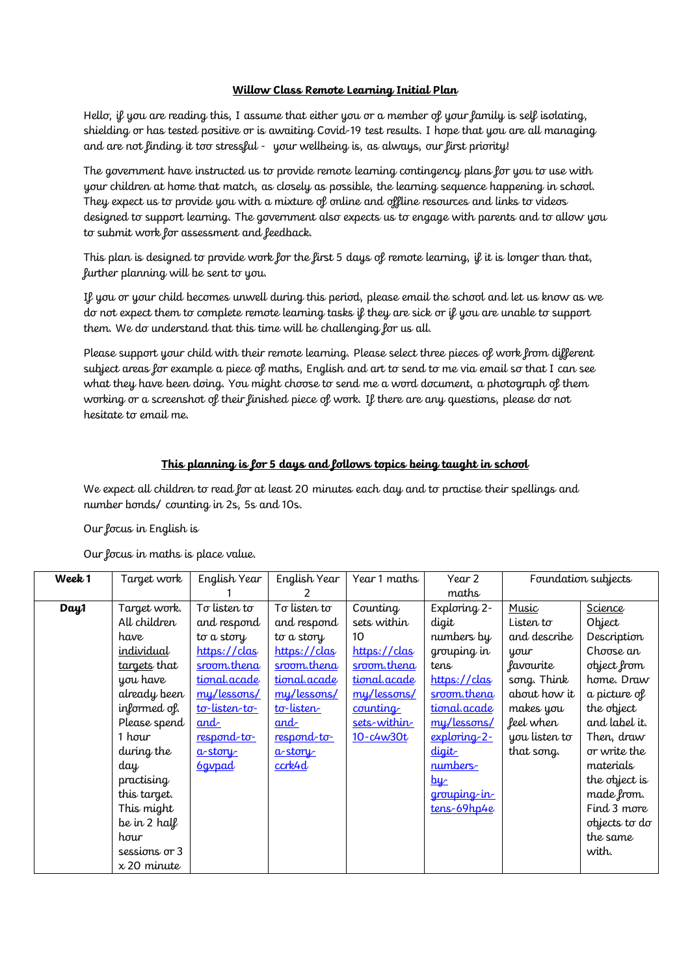## **Willow Class Remote Learning Initial Plan**

Hello, if you are reading this, I assume that either you or a member of your family is self isolating, shielding or has tested positive or is awaiting Covid-19 test results. I hope that you are all managing and are not finding it too stressful - your wellbeing is, as always, our first priority!

The government have instructed us to provide remote learning contingency plans for you to use with your children at home that match, as closely as possible, the learning sequence happening in school. They expect us to provide you with a mixture of online and offline resources and links to videos designed to support learning. The government also expects us to engage with parents and to allow you to submit work for assessment and feedback.

This plan is designed to provide work for the first 5 days of remote learning, if it is longer than that, further planning will be sent to you.

If you or your child becomes unwell during this period, please email the school and let us know as we do not expect them to complete remote learning tasks if they are sick or if you are unable to support them. We do understand that this time will be challenging for us all.

Please support your child with their remote learning. Please select three pieces of work from different subject areas for example a piece of maths, English and art to send to me via email so that I can see what they have been doing. You might choose to send me a word document, a photograph of them working or a screenshot of their finished piece of work. If there are any questions, please do not hesitate to email me.

## **This planning is for 5 days and follows topics being taught in school**

We expect all children to read for at least 20 minutes each day and to practise their spellings and number bonds/ counting in 2s, 5s and 10s.

Our focus in English is

Our focus in maths is place value.

| Week 1 | Target work        | English Year  | English Year | Year 1 maths        | Year 2<br>maths | Foundation subjects |               |
|--------|--------------------|---------------|--------------|---------------------|-----------------|---------------------|---------------|
| Day1   | Target work.       | To listen to  | To listen to | Counting            | Exploring 2-    | Music               | Science       |
|        | All children       | and respond   | and respond  | sets within         | digit           | Listen to           | Object        |
|        |                    |               |              |                     |                 |                     |               |
|        | have               | to a story    | to a story   | 10                  | numbers by      | and describe        | Description   |
|        | individual         | https://clas  | https://clas | https://clas        | grouping in     | your                | Choose an     |
|        | targets that       | sroom.thena   | sroom.thena  | sroom.thena         | tens            | favourite           | object from   |
|        | you have           | tional.acade  | tional.acade | tional.acade        | https://clas    | song. Think         | home. Draw    |
|        | already been       | my/lessons/   | my/lessons/  | my/lessons/         | sroom.thena     | about how it        | a picture of  |
|        | informed of.       | to-listen-to- | to-listen    | <u>counting</u>     | tional.acade    | makes you           | the object    |
|        | Please spend       | and           | <u>and-</u>  | <u>sets-within-</u> | my/lessons/     | feel when           | and label it. |
|        | 1 hour             | respond-to-   | respond-to-  | 10-c4w30t           | exploring-2-    | you listen to       | Then, draw    |
|        | during the         | $a$ -story    | $a$ -story   |                     | digit           | that song.          | or write the  |
|        | day                | <b>6gypad</b> | $c$ crk4 $d$ |                     | numbers-        |                     | materials     |
|        | practising         |               |              |                     | <u>by</u>       |                     | the object is |
|        | this target.       |               |              |                     | grouping in     |                     | made from.    |
|        | This might         |               |              |                     | tens-69hp4e     |                     | Find 3 more   |
|        | be in 2 half       |               |              |                     |                 |                     | objects to do |
|        | hour               |               |              |                     |                 |                     | the same      |
|        | sessions or 3      |               |              |                     |                 |                     | with.         |
|        | $\times$ 20 minute |               |              |                     |                 |                     |               |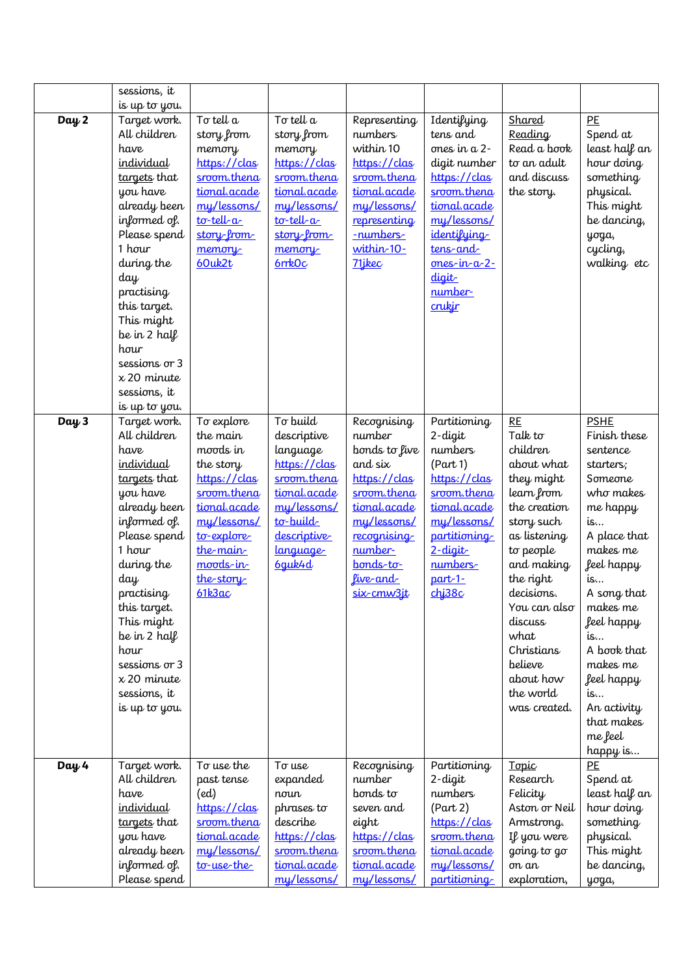|         | sessions, it                                                                                                                                                                                                                                                                                                          |                                                                                                                                                                             |                                                                                                                                                              |                                                                                                                                                                                   |                                                                                                                                                                                                     |                                                                                                                                                                                                                                                                                      |                                                                                                                                                                                                                                                                                                  |
|---------|-----------------------------------------------------------------------------------------------------------------------------------------------------------------------------------------------------------------------------------------------------------------------------------------------------------------------|-----------------------------------------------------------------------------------------------------------------------------------------------------------------------------|--------------------------------------------------------------------------------------------------------------------------------------------------------------|-----------------------------------------------------------------------------------------------------------------------------------------------------------------------------------|-----------------------------------------------------------------------------------------------------------------------------------------------------------------------------------------------------|--------------------------------------------------------------------------------------------------------------------------------------------------------------------------------------------------------------------------------------------------------------------------------------|--------------------------------------------------------------------------------------------------------------------------------------------------------------------------------------------------------------------------------------------------------------------------------------------------|
|         | is up to you.                                                                                                                                                                                                                                                                                                         |                                                                                                                                                                             |                                                                                                                                                              |                                                                                                                                                                                   |                                                                                                                                                                                                     |                                                                                                                                                                                                                                                                                      |                                                                                                                                                                                                                                                                                                  |
| Day 2   | Target work.<br>All children<br>have<br>individual<br>targets that<br>you have<br>already been<br>informed of.<br>Please spend<br>1 hour<br>during the<br>day<br>practising<br>this target.<br>This might<br>be in 2 half<br>hour<br>sessions or 3<br>$x 20$ minute<br>sessions, it                                   | To tell a<br>story from<br>memory<br>https://clas<br>sroom.thena<br>tional.acade<br>my/lessons/<br>$\text{to-tell-}a$<br>story-from-<br>memory<br>60uk2t                    | To tell a<br>story from<br>memory<br>https://clas<br>sroom.thena<br>tional.acade<br>my/lessons/<br>$\text{to-tell-}a$<br>story-from-<br>memory-<br>$6$ rrkOc | Representing<br>numbers<br>within 10<br>https://clas<br>sroom.thena<br>tional.acade<br>my/lessons/<br>representing<br>-numbers-<br>within-10-<br>71 ikec                          | Identifying<br>tens and<br>ones in a 2-<br>digit number<br>https://clas<br>sroom.thena<br>tional.acade<br>my/lessons/<br>identifying<br>tens-and-<br>$ones-in-a-2$ -<br>digit-<br>number-<br>crukir | Shared<br>Reading<br>Read a book<br>to an adult<br>and discuss<br>the story.                                                                                                                                                                                                         | PE<br>Spend at<br>least half an<br>hour doing<br>something<br>physical.<br>This might<br>be dancing,<br>yoga,<br>cycling,<br>walking etc                                                                                                                                                         |
| Day 3   | is up to you.<br>Target work.<br>All children<br>have<br>individual<br>targets that<br>you have<br>already been<br>informed of.<br>Please spend<br>1 hour<br>during the<br>day<br>practising<br>this target.<br>This might<br>be in 2 half<br>hour<br>sessions or 3<br>$x 20$ minute<br>sessions, it<br>is up to you. | To explore<br>the main<br>moods in<br>the story<br>https://clas<br>sroom.thena<br>tional.acade<br>mu/lessons/<br>to-explore<br>the-main<br>moods-in-<br>the story<br>61k3ac | To build<br>descriptive<br>language<br>https://clas<br>sroom.thena<br>tional.acade<br>mu/lessons/<br>to-build-<br>descriptive-<br><u>language</u><br>6guk4d  | Recognising<br>number<br>bonds to five<br>and six<br>https://clas<br>sroom.thena<br>tional.acade<br>mu/lessons/<br>recognising<br>number-<br>bonds-to-<br>live-and-<br>six-cmw3jt | Partitioning<br>$2$ -digit<br>numbers<br>(Part 1)<br>https://clas<br>sroom.thena<br>tional.acade<br>mu/lessons/<br>partitioning<br>$2$ -digit-<br>numbers-<br>$part-1$ -<br>chj38c                  | <b>RE</b><br>Talk to<br>children<br>about what<br>they might<br>learn from<br>the creation<br>story such<br>as listening<br>to people<br>and making<br>the right<br>decisions.<br>You can also<br>discuss<br>what<br>Christians<br>believe<br>about how<br>the world<br>was created. | <b>PSHE</b><br>Finish these<br>sentence<br>starters;<br>Someone<br>who makes<br>me happy<br>is<br>A place that<br>makes me<br>feel happy<br>is<br>A song that<br>makes me<br>feel happy<br>is<br>A book that<br>makes me<br>feel happy<br>is<br>An activity<br>that makes<br>me feel<br>happy is |
| Day $4$ | Target work.<br>All children<br>have<br>individual<br>targets that<br>you have<br>already been<br>informed of.<br>Please spend                                                                                                                                                                                        | To use the<br>past tense<br>(ed)<br>https://clas<br>sroom.thena<br>tional.acade<br>my/lessons/<br>to-use-the-                                                               | To use<br>expanded<br>noun<br>phrases to<br>describe<br>https://clas<br>sroom.thena<br>tional.acade<br>my/lessons/                                           | Recognising<br>number<br>bonds to<br>seven and<br>eight<br>https://clas<br>sroom.thena<br>tional.acade<br>my/lessons/                                                             | Partitioning<br>$2$ -digit<br>numbers<br>(Part 2)<br>https://clas<br>sroom.thena<br>tional.acade<br>my/lessons/<br>partitioning                                                                     | Topic<br>Research<br>Felicity<br>Aston or Neil<br>Armstrong.<br>If you were<br>going to go<br>on an<br>exploration,                                                                                                                                                                  | PE<br>Spend at<br>least half an<br>hour doing<br>something<br>physical.<br>This might<br>be dancing,<br>yoga,                                                                                                                                                                                    |